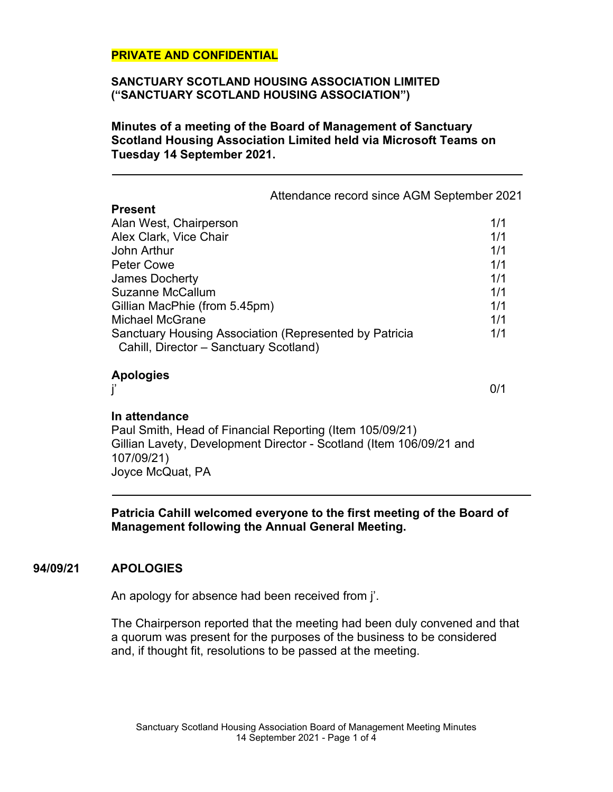#### **SANCTUARY SCOTLAND HOUSING ASSOCIATION LIMITED ("SANCTUARY SCOTLAND HOUSING ASSOCIATION")**

**Minutes of a meeting of the Board of Management of Sanctuary Scotland Housing Association Limited held via Microsoft Teams on Tuesday 14 September 2021.**

Attendance record since AGM September 2021

| 1/1 |
|-----|
| 1/1 |
| 1/1 |
| 1/1 |
| 1/1 |
| 1/1 |
| 1/1 |
| 1/1 |
| 1/1 |
|     |
|     |

### **Apologies**

j' 0/1

## **In attendance**

Paul Smith, Head of Financial Reporting (Item 105/09/21) Gillian Lavety, Development Director - Scotland (Item 106/09/21 and 107/09/21) Joyce McQuat, PA

**Patricia Cahill welcomed everyone to the first meeting of the Board of Management following the Annual General Meeting.**

## **94/09/21 APOLOGIES**

An apology for absence had been received from j'.

The Chairperson reported that the meeting had been duly convened and that a quorum was present for the purposes of the business to be considered and, if thought fit, resolutions to be passed at the meeting.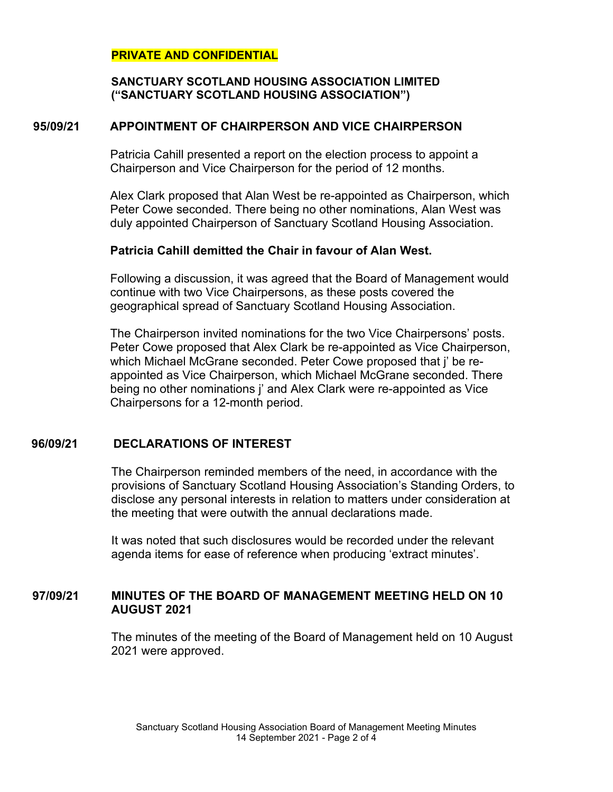## **SANCTUARY SCOTLAND HOUSING ASSOCIATION LIMITED ("SANCTUARY SCOTLAND HOUSING ASSOCIATION")**

# **95/09/21 APPOINTMENT OF CHAIRPERSON AND VICE CHAIRPERSON**

Patricia Cahill presented a report on the election process to appoint a Chairperson and Vice Chairperson for the period of 12 months.

Alex Clark proposed that Alan West be re-appointed as Chairperson, which Peter Cowe seconded. There being no other nominations, Alan West was duly appointed Chairperson of Sanctuary Scotland Housing Association.

### **Patricia Cahill demitted the Chair in favour of Alan West.**

Following a discussion, it was agreed that the Board of Management would continue with two Vice Chairpersons, as these posts covered the geographical spread of Sanctuary Scotland Housing Association.

The Chairperson invited nominations for the two Vice Chairpersons' posts. Peter Cowe proposed that Alex Clark be re-appointed as Vice Chairperson, which Michael McGrane seconded. Peter Cowe proposed that j' be reappointed as Vice Chairperson, which Michael McGrane seconded. There being no other nominations j' and Alex Clark were re-appointed as Vice Chairpersons for a 12-month period.

# **96/09/21 DECLARATIONS OF INTEREST**

The Chairperson reminded members of the need, in accordance with the provisions of Sanctuary Scotland Housing Association's Standing Orders, to disclose any personal interests in relation to matters under consideration at the meeting that were outwith the annual declarations made.

It was noted that such disclosures would be recorded under the relevant agenda items for ease of reference when producing 'extract minutes'.

# **97/09/21 MINUTES OF THE BOARD OF MANAGEMENT MEETING HELD ON 10 AUGUST 2021**

The minutes of the meeting of the Board of Management held on 10 August 2021 were approved.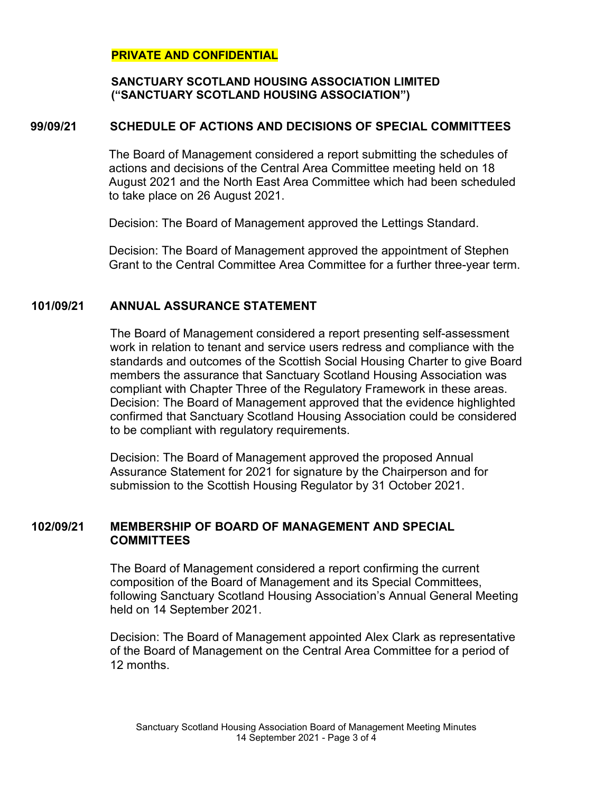## **SANCTUARY SCOTLAND HOUSING ASSOCIATION LIMITED ("SANCTUARY SCOTLAND HOUSING ASSOCIATION")**

# **99/09/21 SCHEDULE OF ACTIONS AND DECISIONS OF SPECIAL COMMITTEES**

The Board of Management considered a report submitting the schedules of actions and decisions of the Central Area Committee meeting held on 18 August 2021 and the North East Area Committee which had been scheduled to take place on 26 August 2021.

Decision: The Board of Management approved the Lettings Standard.

Decision: The Board of Management approved the appointment of Stephen Grant to the Central Committee Area Committee for a further three-year term.

# **101/09/21 ANNUAL ASSURANCE STATEMENT**

The Board of Management considered a report presenting self-assessment work in relation to tenant and service users redress and compliance with the standards and outcomes of the Scottish Social Housing Charter to give Board members the assurance that Sanctuary Scotland Housing Association was compliant with Chapter Three of the Regulatory Framework in these areas. Decision: The Board of Management approved that the evidence highlighted confirmed that Sanctuary Scotland Housing Association could be considered to be compliant with regulatory requirements.

Decision: The Board of Management approved the proposed Annual Assurance Statement for 2021 for signature by the Chairperson and for submission to the Scottish Housing Regulator by 31 October 2021.

# **102/09/21 MEMBERSHIP OF BOARD OF MANAGEMENT AND SPECIAL COMMITTEES**

The Board of Management considered a report confirming the current composition of the Board of Management and its Special Committees, following Sanctuary Scotland Housing Association's Annual General Meeting held on 14 September 2021.

Decision: The Board of Management appointed Alex Clark as representative of the Board of Management on the Central Area Committee for a period of 12 months.